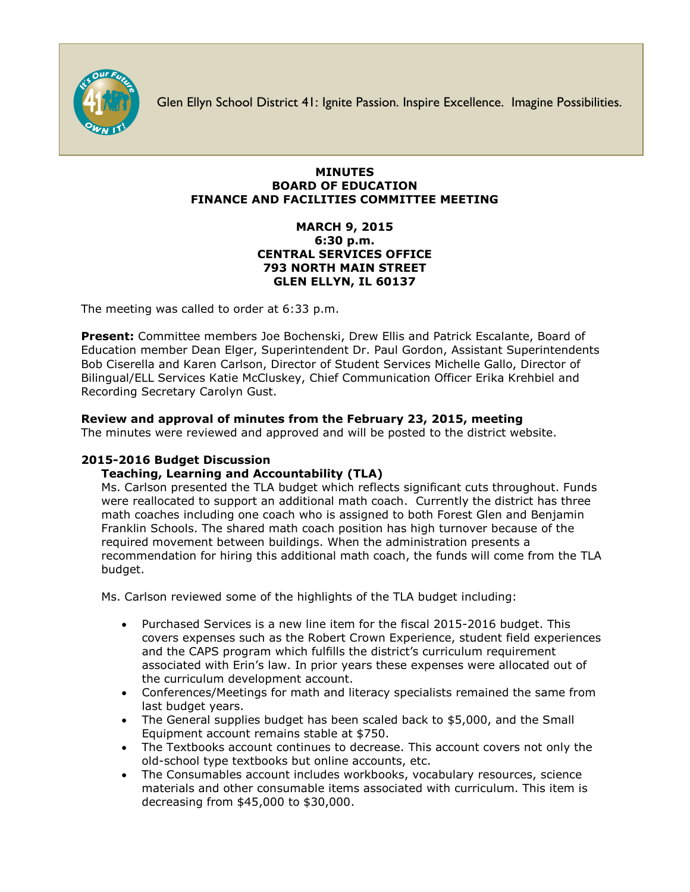

Glen Ellyn School District 41: Ignite Passion. Inspire Excellence. Imagine Possibilities.

### **MINUTES BOARD OF EDUCATION FINANCE AND FACILITIES COMMITTEE MEETING**

## **MARCH 9, 2015 6:30 p.m. CENTRAL SERVICES OFFICE 793 NORTH MAIN STREET GLEN ELLYN, IL 60137**

The meeting was called to order at 6:33 p.m.

**Present:** Committee members Joe Bochenski, Drew Ellis and Patrick Escalante, Board of Education member Dean Elger, Superintendent Dr. Paul Gordon, Assistant Superintendents Bob Ciserella and Karen Carlson, Director of Student Services Michelle Gallo, Director of Bilingual/ELL Services Katie McCluskey, Chief Communication Officer [Erika Krehbiel](http://www.d41.org/contact_email.asp?id=ekrehbiel&n=Erika_Krehbiel) and Recording Secretary Carolyn Gust.

# **Review and approval of minutes from the February 23, 2015, meeting**

The minutes were reviewed and approved and will be posted to the district website.

# **2015-2016 Budget Discussion**

# **Teaching, Learning and Accountability (TLA)**

Ms. Carlson presented the TLA budget which reflects significant cuts throughout. Funds were reallocated to support an additional math coach. Currently the district has three math coaches including one coach who is assigned to both Forest Glen and Benjamin Franklin Schools. The shared math coach position has high turnover because of the required movement between buildings. When the administration presents a recommendation for hiring this additional math coach, the funds will come from the TLA budget.

Ms. Carlson reviewed some of the highlights of the TLA budget including:

- Purchased Services is a new line item for the fiscal 2015-2016 budget. This covers expenses such as the Robert Crown Experience, student field experiences and the CAPS program which fulfills the district's curriculum requirement associated with Erin's law. In prior years these expenses were allocated out of the curriculum development account.
- Conferences/Meetings for math and literacy specialists remained the same from last budget years.
- The General supplies budget has been scaled back to \$5,000, and the Small Equipment account remains stable at \$750.
- The Textbooks account continues to decrease. This account covers not only the old-school type textbooks but online accounts, etc.
- The Consumables account includes workbooks, vocabulary resources, science materials and other consumable items associated with curriculum. This item is decreasing from \$45,000 to \$30,000.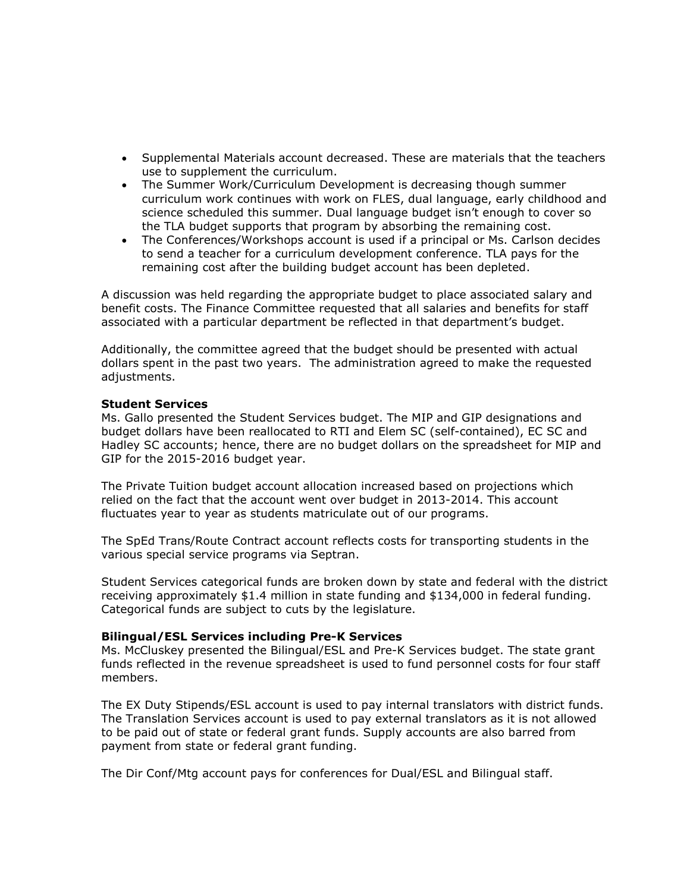- Supplemental Materials account decreased. These are materials that the teachers use to supplement the curriculum.
- The Summer Work/Curriculum Development is decreasing though summer curriculum work continues with work on FLES, dual language, early childhood and science scheduled this summer. Dual language budget isn't enough to cover so the TLA budget supports that program by absorbing the remaining cost.
- The Conferences/Workshops account is used if a principal or Ms. Carlson decides to send a teacher for a curriculum development conference. TLA pays for the remaining cost after the building budget account has been depleted.

A discussion was held regarding the appropriate budget to place associated salary and benefit costs. The Finance Committee requested that all salaries and benefits for staff associated with a particular department be reflected in that department's budget.

Additionally, the committee agreed that the budget should be presented with actual dollars spent in the past two years. The administration agreed to make the requested adjustments.

#### **Student Services**

Ms. Gallo presented the Student Services budget. The MIP and GIP designations and budget dollars have been reallocated to RTI and Elem SC (self-contained), EC SC and Hadley SC accounts; hence, there are no budget dollars on the spreadsheet for MIP and GIP for the 2015-2016 budget year.

The Private Tuition budget account allocation increased based on projections which relied on the fact that the account went over budget in 2013-2014. This account fluctuates year to year as students matriculate out of our programs.

The SpEd Trans/Route Contract account reflects costs for transporting students in the various special service programs via Septran.

Student Services categorical funds are broken down by state and federal with the district receiving approximately \$1.4 million in state funding and \$134,000 in federal funding. Categorical funds are subject to cuts by the legislature.

#### **Bilingual/ESL Services including Pre-K Services**

Ms. McCluskey presented the Bilingual/ESL and Pre-K Services budget. The state grant funds reflected in the revenue spreadsheet is used to fund personnel costs for four staff members.

The EX Duty Stipends/ESL account is used to pay internal translators with district funds. The Translation Services account is used to pay external translators as it is not allowed to be paid out of state or federal grant funds. Supply accounts are also barred from payment from state or federal grant funding.

The Dir Conf/Mtg account pays for conferences for Dual/ESL and Bilingual staff.